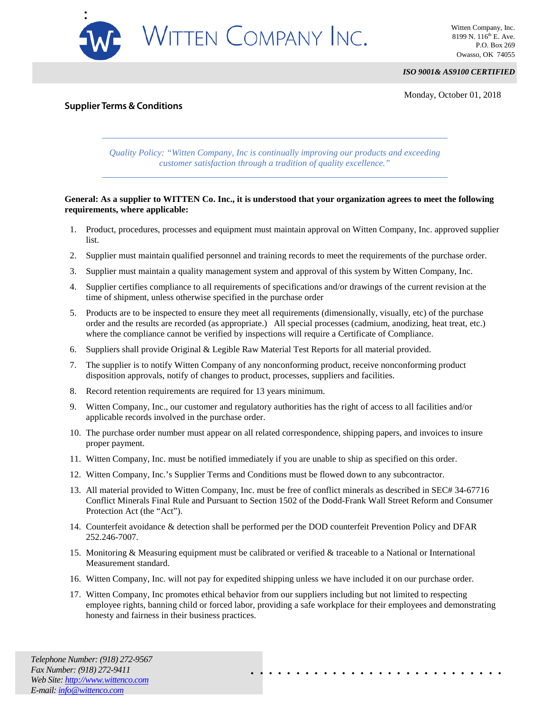

*ISO 9001& AS9100 CERTIFIED*

Monday, October 01, 2018

## **Supplier Terms & Conditions**

*Quality Policy: "Witten Company, Inc is continually improving our products and exceeding customer satisfaction through a tradition of quality excellence."*

## **General: As a supplier to WITTEN Co. Inc., it is understood that your organization agrees to meet the following requirements, where applicable:**

- 1. Product, procedures, processes and equipment must maintain approval on Witten Company, Inc. approved supplier list.
- 2. Supplier must maintain qualified personnel and training records to meet the requirements of the purchase order.
- 3. Supplier must maintain a quality management system and approval of this system by Witten Company, Inc.
- 4. Supplier certifies compliance to all requirements of specifications and/or drawings of the current revision at the time of shipment, unless otherwise specified in the purchase order
- 5. Products are to be inspected to ensure they meet all requirements (dimensionally, visually, etc) of the purchase order and the results are recorded (as appropriate.) All special processes (cadmium, anodizing, heat treat, etc.) where the compliance cannot be verified by inspections will require a Certificate of Compliance.
- 6. Suppliers shall provide Original & Legible Raw Material Test Reports for all material provided.
- 7. The supplier is to notify Witten Company of any nonconforming product, receive nonconforming product disposition approvals, notify of changes to product, processes, suppliers and facilities.
- 8. Record retention requirements are required for 13 years minimum.
- 9. Witten Company, Inc., our customer and regulatory authorities has the right of access to all facilities and/or applicable records involved in the purchase order.
- 10. The purchase order number must appear on all related correspondence, shipping papers, and invoices to insure proper payment.
- 11. Witten Company, Inc. must be notified immediately if you are unable to ship as specified on this order.
- 12. Witten Company, Inc.'s Supplier Terms and Conditions must be flowed down to any subcontractor.
- 13. All material provided to Witten Company, Inc. must be free of conflict minerals as described in SEC# 34-67716 Conflict Minerals Final Rule and Pursuant to Section 1502 of the Dodd-Frank Wall Street Reform and Consumer Protection Act (the "Act").
- 14. Counterfeit avoidance & detection shall be performed per the DOD counterfeit Prevention Policy and DFAR 252.246-7007.
- 15. Monitoring & Measuring equipment must be calibrated or verified & traceable to a National or International Measurement standard.
- 16. Witten Company, Inc. will not pay for expedited shipping unless we have included it on our purchase order.
- 17. Witten Company, Inc promotes ethical behavior from our suppliers including but not limited to respecting employee rights, banning child or forced labor, providing a safe workplace for their employees and demonstrating honesty and fairness in their business practices.

. . . . . . . . . . . . . . . . . . . . . . . . . . . .